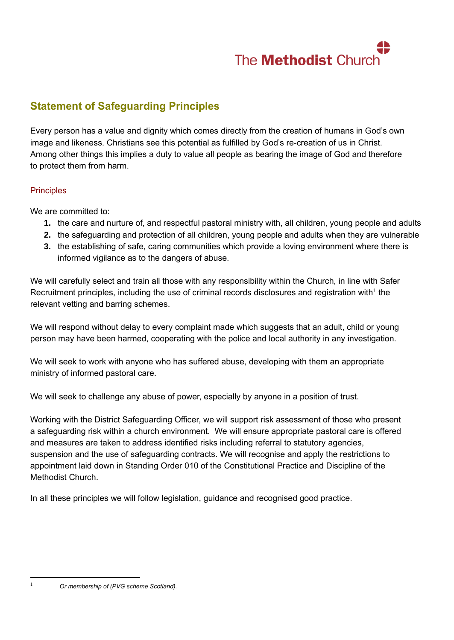

## **Statement of Safeguarding Principles**

Every person has a value and dignity which comes directly from the creation of humans in God's own image and likeness. Christians see this potential as fulfilled by God's re-creation of us in Christ. Among other things this implies a duty to value all people as bearing the image of God and therefore to protect them from harm.

#### **Principles**

We are committed to:

- **1.** the care and nurture of, and respectful pastoral ministry with, all children, young people and adults
- **2.** the safeguarding and protection of all children, young people and adults when they are vulnerable
- **3.** the establishing of safe, caring communities which provide a loving environment where there is informed vigilance as to the dangers of abuse.

We will carefully select and train all those with any responsibility within the Church, in line with Safer Recruitment principles, including the use of criminal records disclosures and registration with<sup>1</sup> the relevant vetting and barring schemes.

We will respond without delay to every complaint made which suggests that an adult, child or young person may have been harmed, cooperating with the police and local authority in any investigation.

We will seek to work with anyone who has suffered abuse, developing with them an appropriate ministry of informed pastoral care.

We will seek to challenge any abuse of power, especially by anyone in a position of trust.

Working with the District Safeguarding Officer, we will support risk assessment of those who present a safeguarding risk within a church environment. We will ensure appropriate pastoral care is offered and measures are taken to address identified risks including referral to statutory agencies, suspension and the use of safeguarding contracts. We will recognise and apply the restrictions to appointment laid down in Standing Order 010 of the Constitutional Practice and Discipline of the Methodist Church.

In all these principles we will follow legislation, guidance and recognised good practice.

<sup>1</sup> *Or membership of (PVG scheme Scotland).*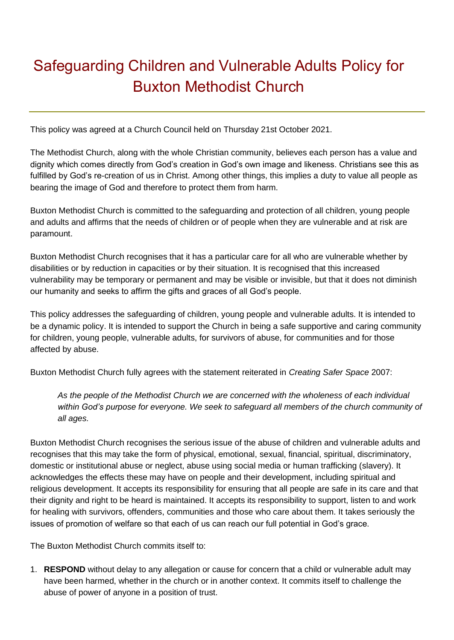# Safeguarding Children and Vulnerable Adults Policy for Buxton Methodist Church

This policy was agreed at a Church Council held on Thursday 21st October 2021.

The Methodist Church, along with the whole Christian community, believes each person has a value and dignity which comes directly from God's creation in God's own image and likeness. Christians see this as fulfilled by God's re-creation of us in Christ. Among other things, this implies a duty to value all people as bearing the image of God and therefore to protect them from harm.

Buxton Methodist Church is committed to the safeguarding and protection of all children, young people and adults and affirms that the needs of children or of people when they are vulnerable and at risk are paramount.

Buxton Methodist Church recognises that it has a particular care for all who are vulnerable whether by disabilities or by reduction in capacities or by their situation. It is recognised that this increased vulnerability may be temporary or permanent and may be visible or invisible, but that it does not diminish our humanity and seeks to affirm the gifts and graces of all God's people.

This policy addresses the safeguarding of children, young people and vulnerable adults. It is intended to be a dynamic policy. It is intended to support the Church in being a safe supportive and caring community for children, young people, vulnerable adults, for survivors of abuse, for communities and for those affected by abuse.

Buxton Methodist Church fully agrees with the statement reiterated in *Creating Safer Space* 2007:

*As the people of the Methodist Church we are concerned with the wholeness of each individual within God's purpose for everyone. We seek to safeguard all members of the church community of all ages.* 

Buxton Methodist Church recognises the serious issue of the abuse of children and vulnerable adults and recognises that this may take the form of physical, emotional, sexual, financial, spiritual, discriminatory, domestic or institutional abuse or neglect, abuse using social media or human trafficking (slavery). It acknowledges the effects these may have on people and their development, including spiritual and religious development. It accepts its responsibility for ensuring that all people are safe in its care and that their dignity and right to be heard is maintained. It accepts its responsibility to support, listen to and work for healing with survivors, offenders, communities and those who care about them. It takes seriously the issues of promotion of welfare so that each of us can reach our full potential in God's grace.

The Buxton Methodist Church commits itself to:

1. **RESPOND** without delay to any allegation or cause for concern that a child or vulnerable adult may have been harmed, whether in the church or in another context. It commits itself to challenge the abuse of power of anyone in a position of trust.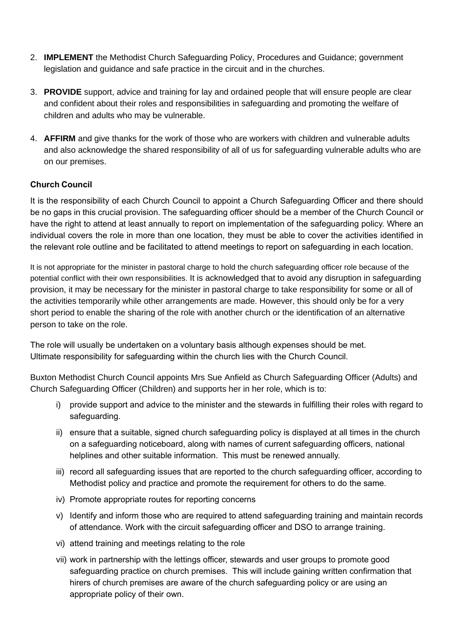- 2. **IMPLEMENT** the Methodist Church Safeguarding Policy, Procedures and Guidance; government legislation and guidance and safe practice in the circuit and in the churches.
- 3. **PROVIDE** support, advice and training for lay and ordained people that will ensure people are clear and confident about their roles and responsibilities in safeguarding and promoting the welfare of children and adults who may be vulnerable.
- 4. **AFFIRM** and give thanks for the work of those who are workers with children and vulnerable adults and also acknowledge the shared responsibility of all of us for safeguarding vulnerable adults who are on our premises.

#### **Church Council**

It is the responsibility of each Church Council to appoint a Church Safeguarding Officer and there should be no gaps in this crucial provision. The safeguarding officer should be a member of the Church Council or have the right to attend at least annually to report on implementation of the safeguarding policy. Where an individual covers the role in more than one location, they must be able to cover the activities identified in the relevant role outline and be facilitated to attend meetings to report on safeguarding in each location.

It is not appropriate for the minister in pastoral charge to hold the church safeguarding officer role because of the potential conflict with their own responsibilities. It is acknowledged that to avoid any disruption in safeguarding provision, it may be necessary for the minister in pastoral charge to take responsibility for some or all of the activities temporarily while other arrangements are made. However, this should only be for a very short period to enable the sharing of the role with another church or the identification of an alternative person to take on the role.

The role will usually be undertaken on a voluntary basis although expenses should be met. Ultimate responsibility for safeguarding within the church lies with the Church Council.

Buxton Methodist Church Council appoints Mrs Sue Anfield as Church Safeguarding Officer (Adults) and Church Safeguarding Officer (Children) and supports her in her role, which is to:

- i) provide support and advice to the minister and the stewards in fulfilling their roles with regard to safeguarding.
- ii) ensure that a suitable, signed church safeguarding policy is displayed at all times in the church on a safeguarding noticeboard, along with names of current safeguarding officers, national helplines and other suitable information. This must be renewed annually.
- iii) record all safeguarding issues that are reported to the church safeguarding officer, according to Methodist policy and practice and promote the requirement for others to do the same.
- iv) Promote appropriate routes for reporting concerns
- v) Identify and inform those who are required to attend safeguarding training and maintain records of attendance. Work with the circuit safeguarding officer and DSO to arrange training.
- vi) attend training and meetings relating to the role
- vii) work in partnership with the lettings officer, stewards and user groups to promote good safeguarding practice on church premises. This will include gaining written confirmation that hirers of church premises are aware of the church safeguarding policy or are using an appropriate policy of their own.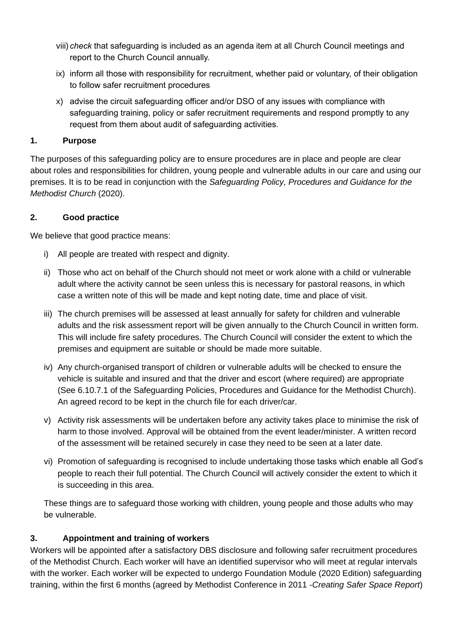- viii) *check* that safeguarding is included as an agenda item at all Church Council meetings and report to the Church Council annually.
- ix) inform all those with responsibility for recruitment, whether paid or voluntary, of their obligation to follow safer recruitment procedures
- x) advise the circuit safeguarding officer and/or DSO of any issues with compliance with safeguarding training, policy or safer recruitment requirements and respond promptly to any request from them about audit of safeguarding activities.

#### **1. Purpose**

The purposes of this safeguarding policy are to ensure procedures are in place and people are clear about roles and responsibilities for children, young people and vulnerable adults in our care and using our premises. It is to be read in conjunction with the *Safeguarding Policy, Procedures and Guidance for the Methodist Church* (2020).

#### **2. Good practice**

We believe that good practice means:

- i) All people are treated with respect and dignity.
- ii) Those who act on behalf of the Church should not meet or work alone with a child or vulnerable adult where the activity cannot be seen unless this is necessary for pastoral reasons, in which case a written note of this will be made and kept noting date, time and place of visit.
- iii) The church premises will be assessed at least annually for safety for children and vulnerable adults and the risk assessment report will be given annually to the Church Council in written form. This will include fire safety procedures. The Church Council will consider the extent to which the premises and equipment are suitable or should be made more suitable.
- iv) Any church-organised transport of children or vulnerable adults will be checked to ensure the vehicle is suitable and insured and that the driver and escort (where required) are appropriate (See 6.10.7.1 of the Safeguarding Policies, Procedures and Guidance for the Methodist Church). An agreed record to be kept in the church file for each driver/car.
- v) Activity risk assessments will be undertaken before any activity takes place to minimise the risk of harm to those involved. Approval will be obtained from the event leader/minister. A written record of the assessment will be retained securely in case they need to be seen at a later date.
- vi) Promotion of safeguarding is recognised to include undertaking those tasks which enable all God's people to reach their full potential. The Church Council will actively consider the extent to which it is succeeding in this area.

These things are to safeguard those working with children, young people and those adults who may be vulnerable.

## **3. Appointment and training of workers**

Workers will be appointed after a satisfactory DBS disclosure and following safer recruitment procedures of the Methodist Church. Each worker will have an identified supervisor who will meet at regular intervals with the worker. Each worker will be expected to undergo Foundation Module (2020 Edition) safeguarding training, within the first 6 months (agreed by Methodist Conference in 2011 -*Creating Safer Space Report*)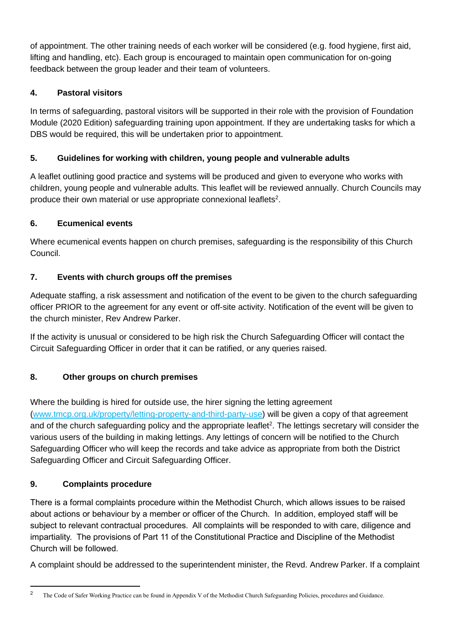of appointment. The other training needs of each worker will be considered (e.g. food hygiene, first aid, lifting and handling, etc). Each group is encouraged to maintain open communication for on-going feedback between the group leader and their team of volunteers.

## **4. Pastoral visitors**

In terms of safeguarding, pastoral visitors will be supported in their role with the provision of Foundation Module (2020 Edition) safeguarding training upon appointment. If they are undertaking tasks for which a DBS would be required, this will be undertaken prior to appointment.

## **5. Guidelines for working with children, young people and vulnerable adults**

A leaflet outlining good practice and systems will be produced and given to everyone who works with children, young people and vulnerable adults. This leaflet will be reviewed annually. Church Councils may produce their own material or use appropriate connexional leaflets<sup>2</sup>.

## **6. Ecumenical events**

Where ecumenical events happen on church premises, safeguarding is the responsibility of this Church Council.

## **7. Events with church groups off the premises**

Adequate staffing, a risk assessment and notification of the event to be given to the church safeguarding officer PRIOR to the agreement for any event or off-site activity. Notification of the event will be given to the church minister, Rev Andrew Parker.

If the activity is unusual or considered to be high risk the Church Safeguarding Officer will contact the Circuit Safeguarding Officer in order that it can be ratified, or any queries raised.

## **8. Other groups on church premises**

Where the building is hired for outside use, the hirer signing the letting agreement [\(www.tmcp.org.uk/property/letting-property-and-third-party-use\)](http://www.tmcp.org.uk/property/letting-property-and-third-party-use) will be given a copy of that agreement and of the church safeguarding policy and the appropriate leaflet<sup>2</sup>. The lettings secretary will consider the various users of the building in making lettings. Any lettings of concern will be notified to the Church Safeguarding Officer who will keep the records and take advice as appropriate from both the District Safeguarding Officer and Circuit Safeguarding Officer.

## **9. Complaints procedure**

There is a formal complaints procedure within the Methodist Church, which allows issues to be raised about actions or behaviour by a member or officer of the Church. In addition, employed staff will be subject to relevant contractual procedures. All complaints will be responded to with care, diligence and impartiality. The provisions of Part 11 of the Constitutional Practice and Discipline of the Methodist Church will be followed.

A complaint should be addressed to the superintendent minister, the Revd. Andrew Parker. If a complaint

<sup>&</sup>lt;sup>2</sup> The Code of Safer Working Practice can be found in Appendix V of the Methodist Church Safeguarding Policies, procedures and Guidance.